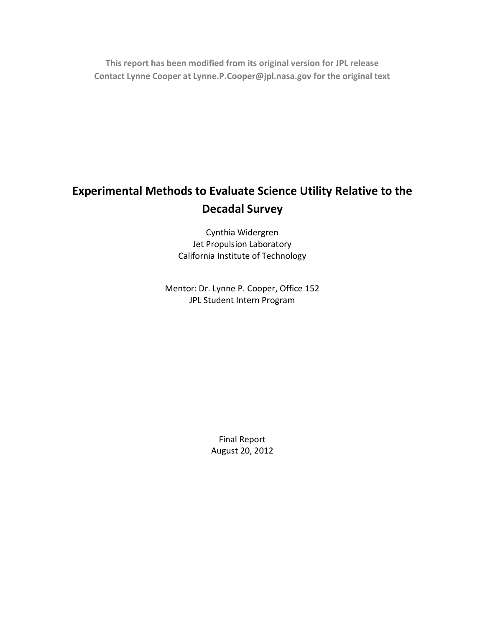**This report has been modified from its original version for JPL release Contact Lynne Cooper at Lynne.P.Cooper@jpl.nasa.gov for the original text**

# **Experimental Methods to Evaluate Science Utility Relative to the Decadal Survey**

Cynthia Widergren Jet Propulsion Laboratory California Institute of Technology

Mentor: Dr. Lynne P. Cooper, Office 152 JPL Student Intern Program

> Final Report August 20, 2012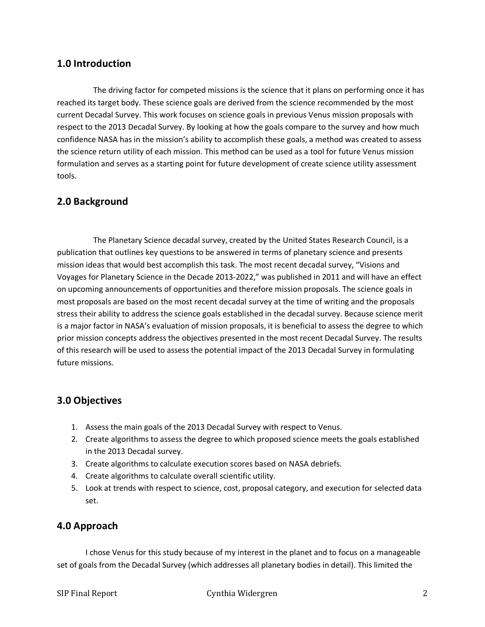#### **1.0 Introduction**

The driving factor for competed missions is the science that it plans on performing once it has reached its target body. These science goals are derived from the science recommended by the most current Decadal Survey. This work focuses on science goals in previous Venus mission proposals with respect to the 2013 Decadal Survey. By looking at how the goals compare to the survey and how much confidence NASA has in the mission's ability to accomplish these goals, a method was created to assess the science return utility of each mission. This method can be used as a tool for future Venus mission formulation and serves as a starting point for future development of create science utility assessment tools.

#### **2.0 Background**

The Planetary Science decadal survey, created by the United States Research Council, is a publication that outlines key questions to be answered in terms of planetary science and presents mission ideas that would best accomplish this task. The most recent decadal survey, "Visions and Voyages for Planetary Science in the Decade 2013-2022," was published in 2011 and will have an effect on upcoming announcements of opportunities and therefore mission proposals. The science goals in most proposals are based on the most recent decadal survey at the time of writing and the proposals stress their ability to address the science goals established in the decadal survey. Because science merit is a major factor in NASA's evaluation of mission proposals, it is beneficial to assess the degree to which prior mission concepts address the objectives presented in the most recent Decadal Survey. The results of this research will be used to assess the potential impact of the 2013 Decadal Survey in formulating future missions.

#### **3.0 Objectives**

- 1. Assess the main goals of the 2013 Decadal Survey with respect to Venus.
- 2. Create algorithms to assess the degree to which proposed science meets the goals established in the 2013 Decadal survey.
- 3. Create algorithms to calculate execution scores based on NASA debriefs.
- 4. Create algorithms to calculate overall scientific utility.
- 5. Look at trends with respect to science, cost, proposal category, and execution for selected data set.

## **4.0 Approach**

I chose Venus for this study because of my interest in the planet and to focus on a manageable set of goals from the Decadal Survey (which addresses all planetary bodies in detail). This limited the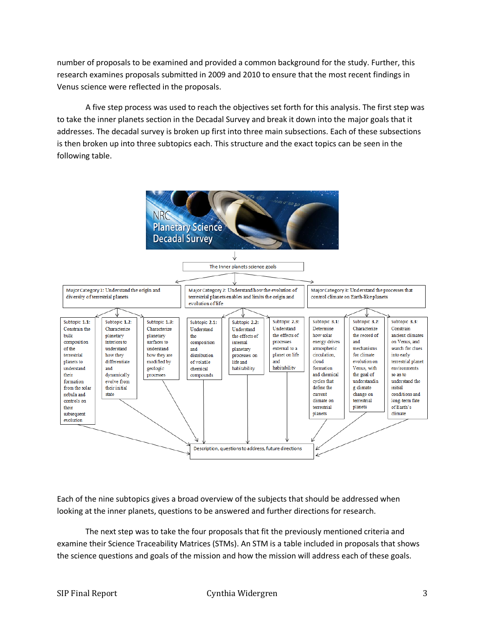number of proposals to be examined and provided a common background for the study. Further, this research examines proposals submitted in 2009 and 2010 to ensure that the most recent findings in Venus science were reflected in the proposals.

A five step process was used to reach the objectives set forth for this analysis. The first step was to take the inner planets section in the Decadal Survey and break it down into the major goals that it addresses. The decadal survey is broken up first into three main subsections. Each of these subsections is then broken up into three subtopics each. This structure and the exact topics can be seen in the following table.



Each of the nine subtopics gives a broad overview of the subjects that should be addressed when looking at the inner planets, questions to be answered and further directions for research.

The next step was to take the four proposals that fit the previously mentioned criteria and examine their Science Traceability Matrices (STMs). An STM is a table included in proposals that shows the science questions and goals of the mission and how the mission will address each of these goals.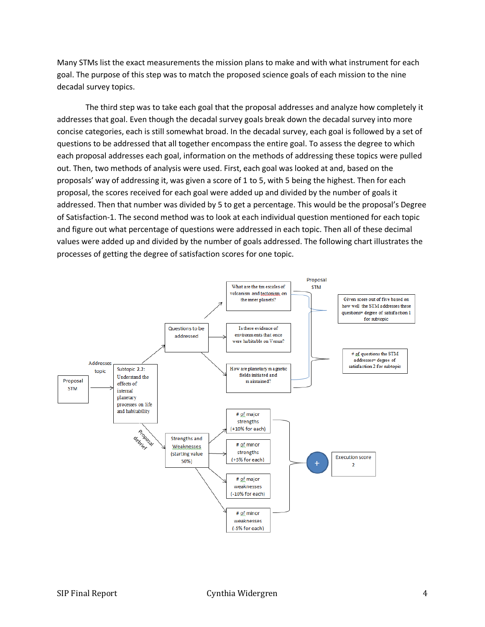Many STMs list the exact measurements the mission plans to make and with what instrument for each goal. The purpose of this step was to match the proposed science goals of each mission to the nine decadal survey topics.

The third step was to take each goal that the proposal addresses and analyze how completely it addresses that goal. Even though the decadal survey goals break down the decadal survey into more concise categories, each is still somewhat broad. In the decadal survey, each goal is followed by a set of questions to be addressed that all together encompass the entire goal. To assess the degree to which each proposal addresses each goal, information on the methods of addressing these topics were pulled out. Then, two methods of analysis were used. First, each goal was looked at and, based on the proposals' way of addressing it, was given a score of 1 to 5, with 5 being the highest. Then for each proposal, the scores received for each goal were added up and divided by the number of goals it addressed. Then that number was divided by 5 to get a percentage. This would be the proposal's Degree of Satisfaction-1. The second method was to look at each individual question mentioned for each topic and figure out what percentage of questions were addressed in each topic. Then all of these decimal values were added up and divided by the number of goals addressed. The following chart illustrates the processes of getting the degree of satisfaction scores for one topic.

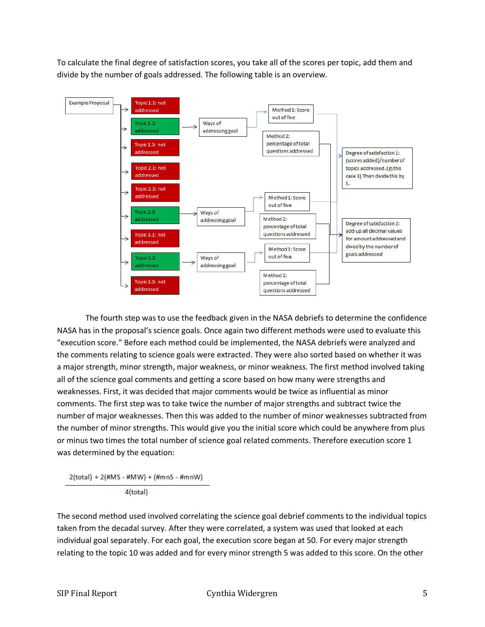To calculate the final degree of satisfaction scores, you take all of the scores per topic, add them and divide by the number of goals addressed. The following table is an overview.



The fourth step was to use the feedback given in the NASA debriefs to determine the confidence NASA has in the proposal's science goals. Once again two different methods were used to evaluate this "execution score." Before each method could be implemented, the NASA debriefs were analyzed and the comments relating to science goals were extracted. They were also sorted based on whether it was a major strength, minor strength, major weakness, or minor weakness. The first method involved taking all of the science goal comments and getting a score based on how many were strengths and weaknesses. First, it was decided that major comments would be twice as influential as minor comments. The first step was to take twice the number of major strengths and subtract twice the number of major weaknesses. Then this was added to the number of minor weaknesses subtracted from the number of minor strengths. This would give you the initial score which could be anywhere from plus or minus two times the total number of science goal related comments. Therefore execution score 1 was determined by the equation:

2(total) + 2(#MS - #MW) + (#mnS - #mnW) 4(total)

The second method used involved correlating the science goal debrief comments to the individual topics taken from the decadal survey. After they were correlated, a system was used that looked at each individual goal separately. For each goal, the execution score began at 50. For every major strength relating to the topic 10 was added and for every minor strength 5 was added to this score. On the other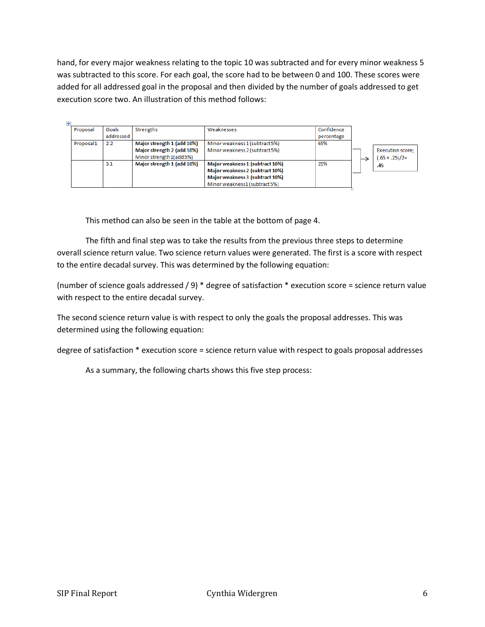hand, for every major weakness relating to the topic 10 was subtracted and for every minor weakness 5 was subtracted to this score. For each goal, the score had to be between 0 and 100. These scores were added for all addressed goal in the proposal and then divided by the number of goals addressed to get execution score two. An illustration of this method follows:

| Proposal  | Goals     | <b>Strengths</b>           | Weaknesses                      | Confidence |  |                         |
|-----------|-----------|----------------------------|---------------------------------|------------|--|-------------------------|
|           | addressed |                            |                                 | percentage |  |                         |
| Proposal1 | 2.2       | Major strength 1 (add 10%) | Minor weakness 1 (subtract 5%)  | 65%        |  |                         |
|           |           | Major strength 2 (add 10%) | Minor weakness 2 (subtract 5%)  |            |  | <b>Execution score:</b> |
|           |           | Minor strength 1 (add 5%)  |                                 |            |  | $(.65 + .25)/2=$        |
|           | 3.1       | Major strength 1 (add 10%) | Major weakness 1 (subtract 10%) | 25%        |  | .45                     |
|           |           |                            | Major weakness 2 (subtract 10%) |            |  |                         |
|           |           |                            | Major weakness 3 (subtract 10%) |            |  |                         |
|           |           |                            | Minor weakness1 (subtract 5%)   |            |  |                         |

This method can also be seen in the table at the bottom of page 4.

The fifth and final step was to take the results from the previous three steps to determine overall science return value. Two science return values were generated. The first is a score with respect to the entire decadal survey. This was determined by the following equation:

(number of science goals addressed / 9) \* degree of satisfaction \* execution score = science return value with respect to the entire decadal survey.

The second science return value is with respect to only the goals the proposal addresses. This was determined using the following equation:

degree of satisfaction \* execution score = science return value with respect to goals proposal addresses

As a summary, the following charts shows this five step process: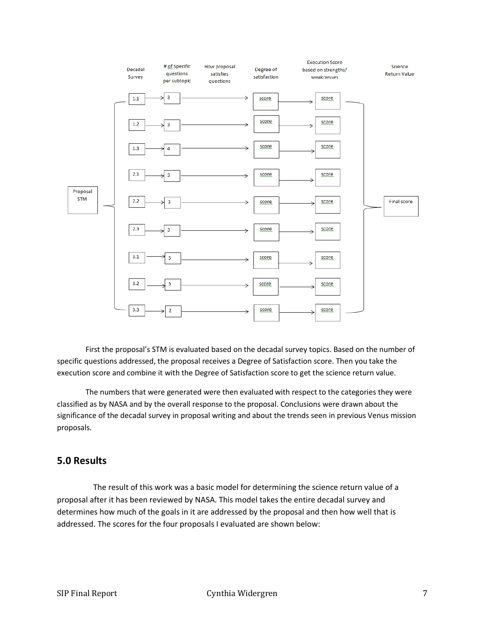

First the proposal's STM is evaluated based on the decadal survey topics. Based on the number of specific questions addressed, the proposal receives a Degree of Satisfaction score. Then you take the execution score and combine it with the Degree of Satisfaction score to get the science return value.

The numbers that were generated were then evaluated with respect to the categories they were classified as by NASA and by the overall response to the proposal. Conclusions were drawn about the significance of the decadal survey in proposal writing and about the trends seen in previous Venus mission proposals.

#### **5.0 Results**

The result of this work was a basic model for determining the science return value of a proposal after it has been reviewed by NASA. This model takes the entire decadal survey and determines how much of the goals in it are addressed by the proposal and then how well that is addressed. The scores for the four proposals I evaluated are shown below: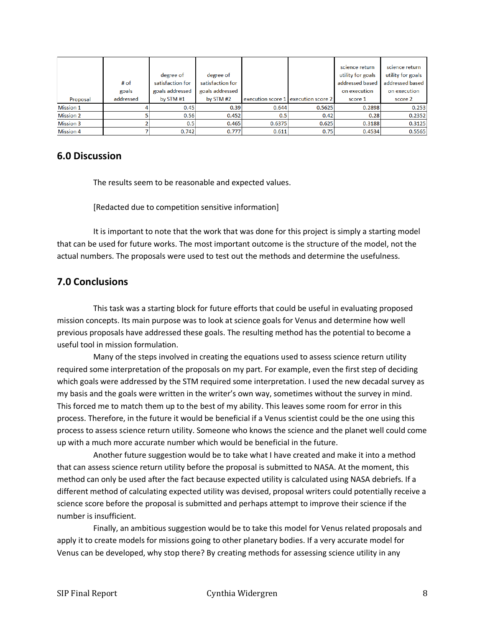| Proposal         | # of<br>goals<br>addressed | degree of<br>satisfaction for<br>goals addressed<br>by STM #1 | degree of<br>satisfaction for<br>goals addressed<br>by STM #2 |        | execution score 1 execution score 2 | science return<br>utility for goals<br>addressed based<br>on execution<br>score 1 | science return<br>utility for goals<br>addressed based<br>on execution<br>score 2 |
|------------------|----------------------------|---------------------------------------------------------------|---------------------------------------------------------------|--------|-------------------------------------|-----------------------------------------------------------------------------------|-----------------------------------------------------------------------------------|
| <b>Mission 1</b> |                            | 0.45                                                          | 0.39                                                          | 0.644  | 0.5625                              | 0.2898                                                                            | 0.253                                                                             |
| <b>Mission 2</b> |                            | 0.56                                                          | 0.452                                                         | 0.5    | 0.42                                | 0.28                                                                              | 0.2352                                                                            |
| <b>Mission 3</b> |                            | 0.5                                                           | 0.465                                                         | 0.6375 | 0.625                               | 0.3188                                                                            | 0.3125                                                                            |
| <b>Mission 4</b> |                            | 0.742                                                         | 0.777                                                         | 0.611  | 0.75                                | 0.4534                                                                            | 0.5565                                                                            |

#### **6.0 Discussion**

The results seem to be reasonable and expected values.

[Redacted due to competition sensitive information]

It is important to note that the work that was done for this project is simply a starting model that can be used for future works. The most important outcome is the structure of the model, not the actual numbers. The proposals were used to test out the methods and determine the usefulness.

# **7.0 Conclusions**

This task was a starting block for future efforts that could be useful in evaluating proposed mission concepts. Its main purpose was to look at science goals for Venus and determine how well previous proposals have addressed these goals. The resulting method has the potential to become a useful tool in mission formulation.

Many of the steps involved in creating the equations used to assess science return utility required some interpretation of the proposals on my part. For example, even the first step of deciding which goals were addressed by the STM required some interpretation. I used the new decadal survey as my basis and the goals were written in the writer's own way, sometimes without the survey in mind. This forced me to match them up to the best of my ability. This leaves some room for error in this process. Therefore, in the future it would be beneficial if a Venus scientist could be the one using this process to assess science return utility. Someone who knows the science and the planet well could come up with a much more accurate number which would be beneficial in the future.

Another future suggestion would be to take what I have created and make it into a method that can assess science return utility before the proposal is submitted to NASA. At the moment, this method can only be used after the fact because expected utility is calculated using NASA debriefs. If a different method of calculating expected utility was devised, proposal writers could potentially receive a science score before the proposal is submitted and perhaps attempt to improve their science if the number is insufficient.

Finally, an ambitious suggestion would be to take this model for Venus related proposals and apply it to create models for missions going to other planetary bodies. If a very accurate model for Venus can be developed, why stop there? By creating methods for assessing science utility in any